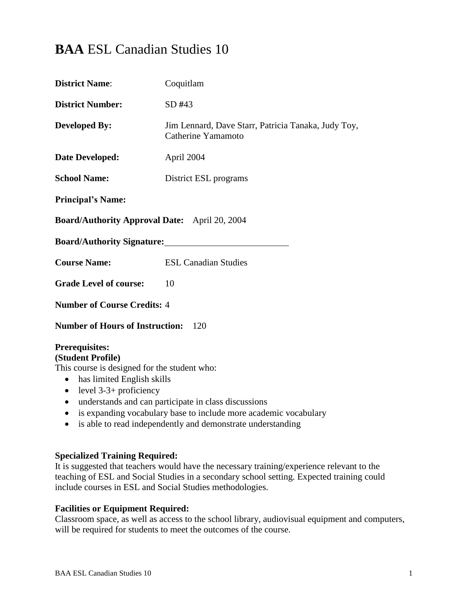# **BAA** ESL Canadian Studies 10

| <b>District Name:</b>                                                                                                                                                                                                                                                                                                                                                                                            | Coquitlam                                                                 |  |
|------------------------------------------------------------------------------------------------------------------------------------------------------------------------------------------------------------------------------------------------------------------------------------------------------------------------------------------------------------------------------------------------------------------|---------------------------------------------------------------------------|--|
| <b>District Number:</b>                                                                                                                                                                                                                                                                                                                                                                                          | SD #43                                                                    |  |
| <b>Developed By:</b>                                                                                                                                                                                                                                                                                                                                                                                             | Jim Lennard, Dave Starr, Patricia Tanaka, Judy Toy,<br>Catherine Yamamoto |  |
| Date Developed:                                                                                                                                                                                                                                                                                                                                                                                                  | April 2004                                                                |  |
| <b>School Name:</b>                                                                                                                                                                                                                                                                                                                                                                                              | District ESL programs                                                     |  |
| <b>Principal's Name:</b>                                                                                                                                                                                                                                                                                                                                                                                         |                                                                           |  |
| <b>Board/Authority Approval Date:</b> April 20, 2004                                                                                                                                                                                                                                                                                                                                                             |                                                                           |  |
| Board/Authority Signature:                                                                                                                                                                                                                                                                                                                                                                                       |                                                                           |  |
| <b>Course Name:</b>                                                                                                                                                                                                                                                                                                                                                                                              | <b>ESL Canadian Studies</b>                                               |  |
| <b>Grade Level of course:</b>                                                                                                                                                                                                                                                                                                                                                                                    | 10                                                                        |  |
| <b>Number of Course Credits: 4</b>                                                                                                                                                                                                                                                                                                                                                                               |                                                                           |  |
| <b>Number of Hours of Instruction:</b><br>120                                                                                                                                                                                                                                                                                                                                                                    |                                                                           |  |
| <b>Prerequisites:</b><br>(Student Profile)<br>This course is designed for the student who:<br>has limited English skills<br>$\bullet$<br>level $3-3+$ proficiency<br>$\bullet$<br>understands and can participate in class discussions<br>$\bullet$<br>is expanding vocabulary base to include more academic vocabulary<br>$\bullet$<br>is able to read independently and demonstrate understanding<br>$\bullet$ |                                                                           |  |

## **Specialized Training Required:**

It is suggested that teachers would have the necessary training/experience relevant to the teaching of ESL and Social Studies in a secondary school setting. Expected training could include courses in ESL and Social Studies methodologies.

#### **Facilities or Equipment Required:**

Classroom space, as well as access to the school library, audiovisual equipment and computers, will be required for students to meet the outcomes of the course.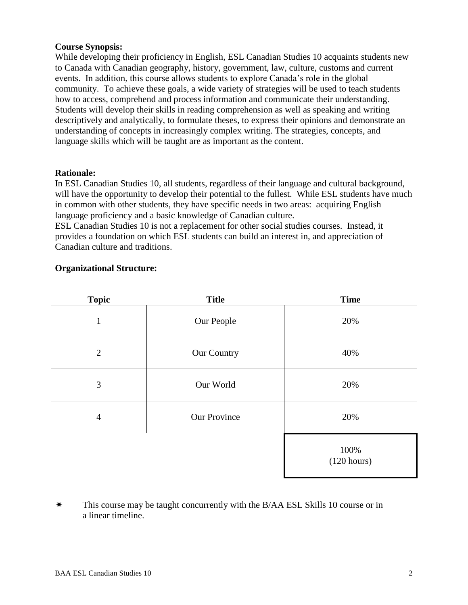### **Course Synopsis:**

While developing their proficiency in English, ESL Canadian Studies 10 acquaints students new to Canada with Canadian geography, history, government, law, culture, customs and current events. In addition, this course allows students to explore Canada's role in the global community. To achieve these goals, a wide variety of strategies will be used to teach students how to access, comprehend and process information and communicate their understanding. Students will develop their skills in reading comprehension as well as speaking and writing descriptively and analytically, to formulate theses, to express their opinions and demonstrate an understanding of concepts in increasingly complex writing. The strategies, concepts, and language skills which will be taught are as important as the content.

#### **Rationale:**

In ESL Canadian Studies 10, all students, regardless of their language and cultural background, will have the opportunity to develop their potential to the fullest. While ESL students have much in common with other students, they have specific needs in two areas: acquiring English language proficiency and a basic knowledge of Canadian culture.

ESL Canadian Studies 10 is not a replacement for other social studies courses. Instead, it provides a foundation on which ESL students can build an interest in, and appreciation of Canadian culture and traditions.

#### **Organizational Structure:**

| <b>Topic</b>   | <b>Title</b>        | <b>Time</b>         |
|----------------|---------------------|---------------------|
| 1              | Our People          | 20%                 |
| $\overline{2}$ | Our Country         | 40%                 |
| 3              | Our World           | 20%                 |
| $\overline{4}$ | <b>Our Province</b> | 20%                 |
|                |                     | 100%<br>(120 hours) |

<sup>\*</sup> This course may be taught concurrently with the B/AA ESL Skills 10 course or in a linear timeline.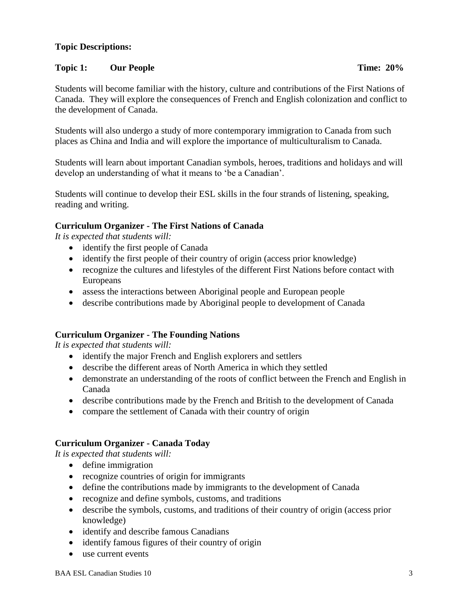## **Topic Descriptions:**

#### **Topic 1: Our People Time: 20%**

Students will become familiar with the history, culture and contributions of the First Nations of Canada. They will explore the consequences of French and English colonization and conflict to the development of Canada.

Students will also undergo a study of more contemporary immigration to Canada from such places as China and India and will explore the importance of multiculturalism to Canada.

Students will learn about important Canadian symbols, heroes, traditions and holidays and will develop an understanding of what it means to 'be a Canadian'.

Students will continue to develop their ESL skills in the four strands of listening, speaking, reading and writing.

#### **Curriculum Organizer - The First Nations of Canada**

*It is expected that students will:*

- identify the first people of Canada
- identify the first people of their country of origin (access prior knowledge)
- recognize the cultures and lifestyles of the different First Nations before contact with Europeans
- assess the interactions between Aboriginal people and European people
- describe contributions made by Aboriginal people to development of Canada

#### **Curriculum Organizer - The Founding Nations**

*It is expected that students will:*

- identify the major French and English explorers and settlers
- describe the different areas of North America in which they settled
- demonstrate an understanding of the roots of conflict between the French and English in Canada
- describe contributions made by the French and British to the development of Canada
- compare the settlement of Canada with their country of origin

#### **Curriculum Organizer - Canada Today**

- define immigration
- recognize countries of origin for immigrants
- define the contributions made by immigrants to the development of Canada
- recognize and define symbols, customs, and traditions
- describe the symbols, customs, and traditions of their country of origin (access prior knowledge)
- identify and describe famous Canadians
- identify famous figures of their country of origin
- use current events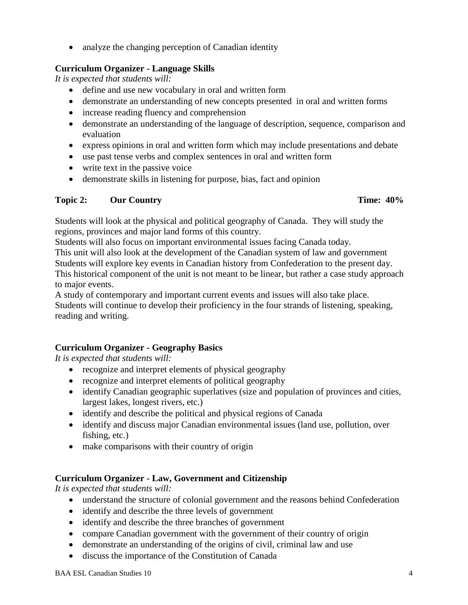• analyze the changing perception of Canadian identity

### **Curriculum Organizer - Language Skills**

*It is expected that students will:*

- define and use new vocabulary in oral and written form
- demonstrate an understanding of new concepts presented in oral and written forms
- increase reading fluency and comprehension
- demonstrate an understanding of the language of description, sequence, comparison and evaluation
- express opinions in oral and written form which may include presentations and debate
- use past tense verbs and complex sentences in oral and written form
- write text in the passive voice
- demonstrate skills in listening for purpose, bias, fact and opinion

#### **Topic 2:** Our Country **Time: 40%**

Students will look at the physical and political geography of Canada. They will study the regions, provinces and major land forms of this country.

Students will also focus on important environmental issues facing Canada today.

This unit will also look at the development of the Canadian system of law and government Students will explore key events in Canadian history from Confederation to the present day. This historical component of the unit is not meant to be linear, but rather a case study approach to major events.

A study of contemporary and important current events and issues will also take place. Students will continue to develop their proficiency in the four strands of listening, speaking, reading and writing.

## **Curriculum Organizer - Geography Basics**

*It is expected that students will:*

- recognize and interpret elements of physical geography
- recognize and interpret elements of political geography
- identify Canadian geographic superlatives (size and population of provinces and cities, largest lakes, longest rivers, etc.)
- identify and describe the political and physical regions of Canada
- identify and discuss major Canadian environmental issues (land use, pollution, over fishing, etc.)
- make comparisons with their country of origin

## **Curriculum Organizer - Law, Government and Citizenship**

- understand the structure of colonial government and the reasons behind Confederation
- identify and describe the three levels of government
- identify and describe the three branches of government
- compare Canadian government with the government of their country of origin
- demonstrate an understanding of the origins of civil, criminal law and use
- discuss the importance of the Constitution of Canada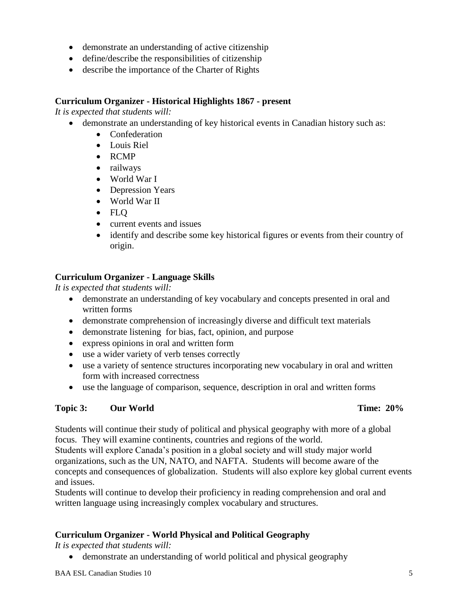- demonstrate an understanding of active citizenship
- define/describe the responsibilities of citizenship
- describe the importance of the Charter of Rights

#### **Curriculum Organizer - Historical Highlights 1867 - present**

*It is expected that students will:*

- demonstrate an understanding of key historical events in Canadian history such as:
	- Confederation
	- Louis Riel
	- RCMP
	- railways
	- World War I
	- Depression Years
	- World War II
	- FLO
	- current events and issues
	- identify and describe some key historical figures or events from their country of origin.

## **Curriculum Organizer - Language Skills**

*It is expected that students will:*

- demonstrate an understanding of key vocabulary and concepts presented in oral and written forms
- demonstrate comprehension of increasingly diverse and difficult text materials
- demonstrate listening for bias, fact, opinion, and purpose
- express opinions in oral and written form
- use a wider variety of verb tenses correctly
- use a variety of sentence structures incorporating new vocabulary in oral and written form with increased correctness
- use the language of comparison, sequence, description in oral and written forms

## **Topic 3: Our World Time: 20%**

Students will continue their study of political and physical geography with more of a global focus. They will examine continents, countries and regions of the world.

Students will explore Canada's position in a global society and will study major world organizations, such as the UN, NATO, and NAFTA. Students will become aware of the concepts and consequences of globalization. Students will also explore key global current events and issues.

Students will continue to develop their proficiency in reading comprehension and oral and written language using increasingly complex vocabulary and structures.

## **Curriculum Organizer - World Physical and Political Geography**

*It is expected that students will:*

demonstrate an understanding of world political and physical geography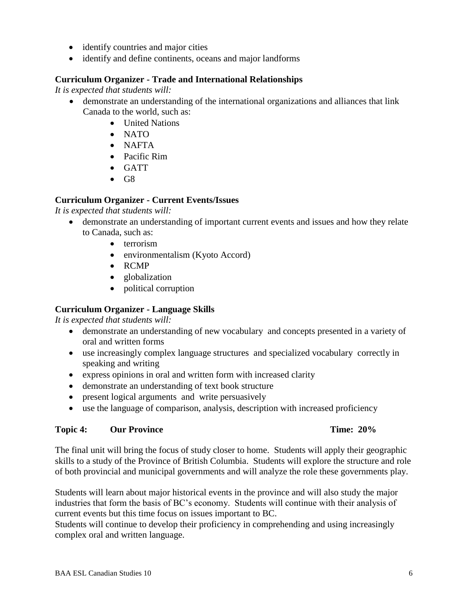- environmentalism (Kyoto Accord)
	- RCMP

 $\bullet$  terrorism

- globalization
- political corruption

#### **Curriculum Organizer - Language Skills**

*It is expected that students will:*

 demonstrate an understanding of new vocabulary and concepts presented in a variety of oral and written forms

demonstrate an understanding of important current events and issues and how they relate

- use increasingly complex language structures and specialized vocabulary correctly in speaking and writing
- express opinions in oral and written form with increased clarity
- demonstrate an understanding of text book structure
- present logical arguments and write persuasively
- use the language of comparison, analysis, description with increased proficiency

#### **Topic 4: Our Province Time: 20%**

The final unit will bring the focus of study closer to home. Students will apply their geographic skills to a study of the Province of British Columbia. Students will explore the structure and role of both provincial and municipal governments and will analyze the role these governments play.

Students will learn about major historical events in the province and will also study the major industries that form the basis of BC's economy. Students will continue with their analysis of current events but this time focus on issues important to BC.

Students will continue to develop their proficiency in comprehending and using increasingly complex oral and written language.

## **Curriculum Organizer - Trade and International Relationships**

identify and define continents, oceans and major landforms

*It is expected that students will:*

- demonstrate an understanding of the international organizations and alliances that link Canada to the world, such as:
	- United Nations

• identify countries and major cities

- NATO
- NAFTA
- Pacific Rim

**Curriculum Organizer - Current Events/Issues**

- GATT
- $\bullet$  G8

*It is expected that students will:*

to Canada, such as: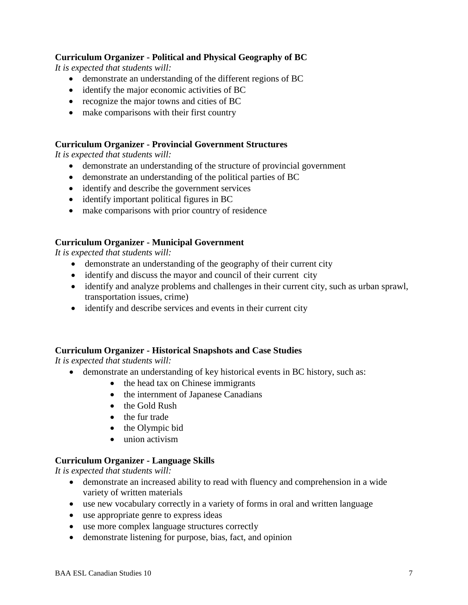### **Curriculum Organizer - Political and Physical Geography of BC**

*It is expected that students will:*

- demonstrate an understanding of the different regions of BC
- identify the major economic activities of BC
- recognize the major towns and cities of BC
- make comparisons with their first country

#### **Curriculum Organizer - Provincial Government Structures**

*It is expected that students will:*

- demonstrate an understanding of the structure of provincial government
- demonstrate an understanding of the political parties of BC
- identify and describe the government services
- identify important political figures in BC
- make comparisons with prior country of residence

#### **Curriculum Organizer - Municipal Government**

*It is expected that students will:*

- demonstrate an understanding of the geography of their current city
- identify and discuss the mayor and council of their current city
- identify and analyze problems and challenges in their current city, such as urban sprawl, transportation issues, crime)
- identify and describe services and events in their current city

## **Curriculum Organizer - Historical Snapshots and Case Studies**

*It is expected that students will:*

- demonstrate an understanding of key historical events in BC history, such as:
	- the head tax on Chinese immigrants
	- the internment of Japanese Canadians
	- the Gold Rush
	- the fur trade
	- $\bullet$  the Olympic bid
	- union activism

## **Curriculum Organizer - Language Skills**

- demonstrate an increased ability to read with fluency and comprehension in a wide variety of written materials
- use new vocabulary correctly in a variety of forms in oral and written language
- use appropriate genre to express ideas
- use more complex language structures correctly
- demonstrate listening for purpose, bias, fact, and opinion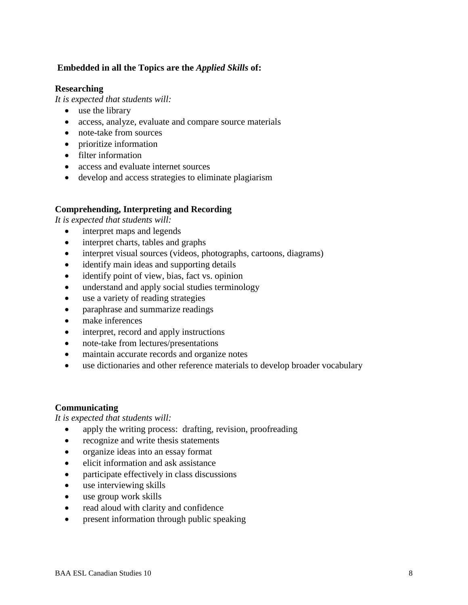### **Embedded in all the Topics are the** *Applied Skills* **of:**

#### **Researching**

*It is expected that students will:* 

- use the library
- access, analyze, evaluate and compare source materials
- note-take from sources
- prioritize information
- filter information
- access and evaluate internet sources
- develop and access strategies to eliminate plagiarism

#### **Comprehending, Interpreting and Recording**

*It is expected that students will:* 

- interpret maps and legends
- interpret charts, tables and graphs
- interpret visual sources (videos, photographs, cartoons, diagrams)
- identify main ideas and supporting details
- identify point of view, bias, fact vs. opinion
- understand and apply social studies terminology
- use a variety of reading strategies
- paraphrase and summarize readings
- make inferences
- interpret, record and apply instructions
- note-take from lectures/presentations
- maintain accurate records and organize notes
- use dictionaries and other reference materials to develop broader vocabulary

## **Communicating**

- apply the writing process: drafting, revision, proofreading
- recognize and write thesis statements
- organize ideas into an essay format
- elicit information and ask assistance
- participate effectively in class discussions
- use interviewing skills
- use group work skills
- read aloud with clarity and confidence
- present information through public speaking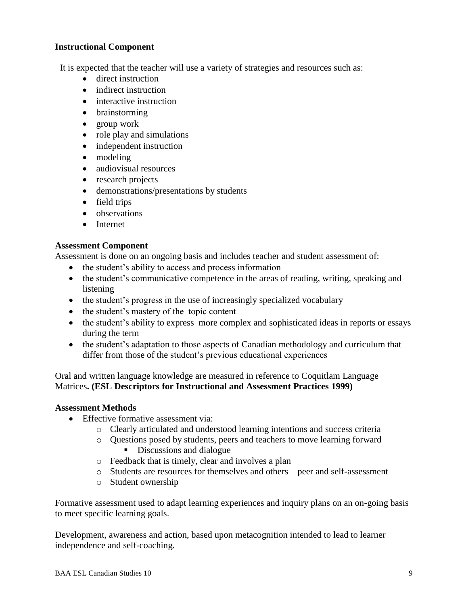#### **Instructional Component**

It is expected that the teacher will use a variety of strategies and resources such as:

- direct instruction
- indirect instruction
- interactive instruction
- brainstorming
- group work
- role play and simulations
- independent instruction
- modeling
- audiovisual resources
- research projects
- demonstrations/presentations by students
- field trips
- observations
- Internet

#### **Assessment Component**

Assessment is done on an ongoing basis and includes teacher and student assessment of:

- the student's ability to access and process information
- the student's communicative competence in the areas of reading, writing, speaking and listening
- the student's progress in the use of increasingly specialized vocabulary
- the student's mastery of the topic content
- the student's ability to express more complex and sophisticated ideas in reports or essays during the term
- the student's adaptation to those aspects of Canadian methodology and curriculum that differ from those of the student's previous educational experiences

Oral and written language knowledge are measured in reference to Coquitlam Language Matrices**. (ESL Descriptors for Instructional and Assessment Practices 1999)**

#### **Assessment Methods**

- Effective formative assessment via:
	- o Clearly articulated and understood learning intentions and success criteria
	- o Questions posed by students, peers and teachers to move learning forward Discussions and dialogue
	- o Feedback that is timely, clear and involves a plan
	- o Students are resources for themselves and others peer and self-assessment
	- o Student ownership

Formative assessment used to adapt learning experiences and inquiry plans on an on-going basis to meet specific learning goals.

Development, awareness and action, based upon metacognition intended to lead to learner independence and self-coaching.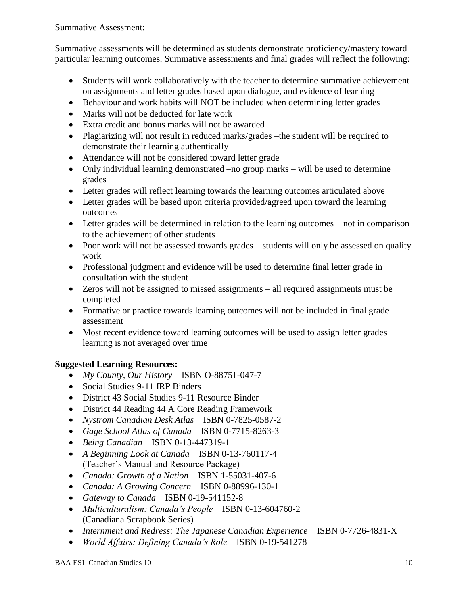Summative Assessment:

Summative assessments will be determined as students demonstrate proficiency/mastery toward particular learning outcomes. Summative assessments and final grades will reflect the following:

- Students will work collaboratively with the teacher to determine summative achievement on assignments and letter grades based upon dialogue, and evidence of learning
- Behaviour and work habits will NOT be included when determining letter grades
- Marks will not be deducted for late work
- Extra credit and bonus marks will not be awarded
- Plagiarizing will not result in reduced marks/grades –the student will be required to demonstrate their learning authentically
- Attendance will not be considered toward letter grade
- Only individual learning demonstrated –no group marks will be used to determine grades
- Letter grades will reflect learning towards the learning outcomes articulated above
- Letter grades will be based upon criteria provided/agreed upon toward the learning outcomes
- Letter grades will be determined in relation to the learning outcomes not in comparison to the achievement of other students
- Poor work will not be assessed towards grades students will only be assessed on quality work
- Professional judgment and evidence will be used to determine final letter grade in consultation with the student
- Zeros will not be assigned to missed assignments all required assignments must be completed
- Formative or practice towards learning outcomes will not be included in final grade assessment
- Most recent evidence toward learning outcomes will be used to assign letter grades learning is not averaged over time

## **Suggested Learning Resources:**

- *My County, Our History* ISBN O-88751-047-7
- Social Studies 9-11 IRP Binders
- District 43 Social Studies 9-11 Resource Binder
- District 44 Reading 44 A Core Reading Framework
- *Nystrom Canadian Desk Atlas* ISBN 0-7825-0587-2
- *Gage School Atlas of Canada* ISBN 0-7715-8263-3
- *Being Canadian* ISBN 0-13-447319-1
- *A Beginning Look at Canada* ISBN 0-13-760117-4 (Teacher's Manual and Resource Package)
- *Canada: Growth of a Nation* ISBN 1-55031-407-6
- *Canada: A Growing Concern* ISBN 0-88996-130-1
- *Gateway to Canada* ISBN 0-19-541152-8
- *Multiculturalism: Canada's People* ISBN 0-13-604760-2 (Canadiana Scrapbook Series)
- *Internment and Redress: The Japanese Canadian Experience* ISBN 0-7726-4831-X
	-
- *World Affairs: Defining Canada's Role* ISBN 0-19-541278